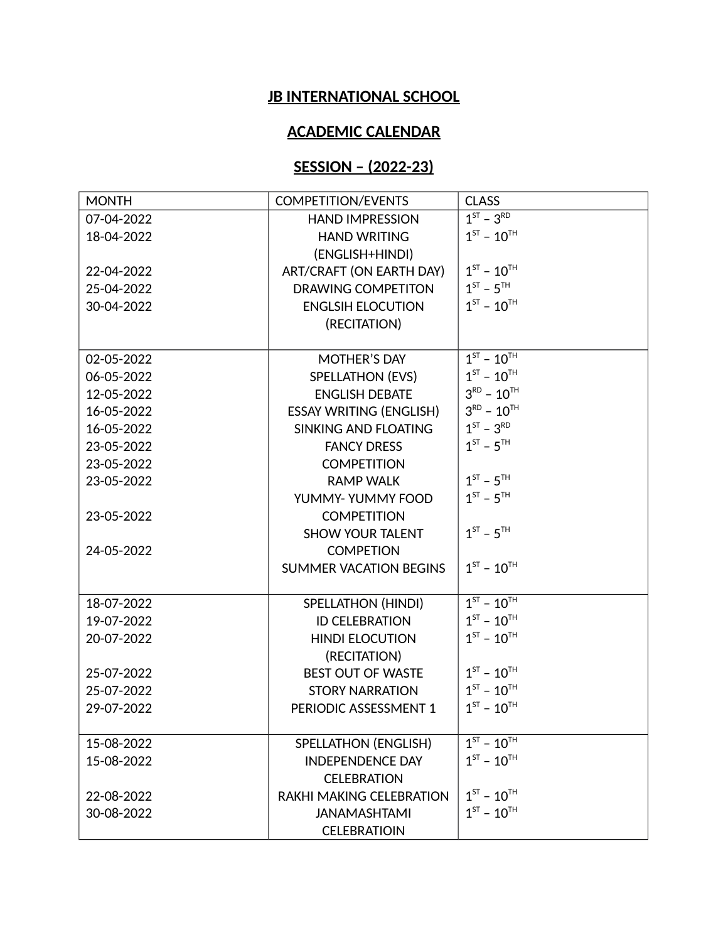## **JB INTERNATIONAL SCHOOL**

## **ACADEMIC CALENDAR**

## **SESSION – (2022-23)**

| <b>MONTH</b> | <b>COMPETITION/EVENTS</b>       | <b>CLASS</b>                     |
|--------------|---------------------------------|----------------------------------|
| 07-04-2022   | <b>HAND IMPRESSION</b>          | $1^{ST} - 3^{RD}$                |
| 18-04-2022   | <b>HAND WRITING</b>             | $1^{ST} - 10^{TH}$               |
|              | (ENGLISH+HINDI)                 |                                  |
| 22-04-2022   | ART/CRAFT (ON EARTH DAY)        | $1^{ST} - 10^{TH}$               |
| 25-04-2022   | <b>DRAWING COMPETITON</b>       | $1^{ST} - 5^{TH}$                |
| 30-04-2022   | <b>ENGLSIH ELOCUTION</b>        | $1^{ST} - 10^{TH}$               |
|              | (RECITATION)                    |                                  |
|              |                                 |                                  |
| 02-05-2022   | <b>MOTHER'S DAY</b>             | $1^{ST} - 10^{TH}$               |
| 06-05-2022   | <b>SPELLATHON (EVS)</b>         | $1^{ST} - 10^{TH}$               |
| 12-05-2022   | <b>ENGLISH DEBATE</b>           | $3^{RD} - 10^{TH}$               |
| 16-05-2022   | <b>ESSAY WRITING (ENGLISH)</b>  | $3^{\text{RD}} - 10^{\text{TH}}$ |
| 16-05-2022   | <b>SINKING AND FLOATING</b>     | $1^{ST} - 3^{RD}$                |
| 23-05-2022   | <b>FANCY DRESS</b>              | $1^{ST} - 5^{TH}$                |
| 23-05-2022   | <b>COMPETITION</b>              |                                  |
| 23-05-2022   | <b>RAMP WALK</b>                | $1^{ST} - 5^{TH}$                |
|              | YUMMY-YUMMY FOOD                | $1^{ST}$ – $5^{TH}$              |
| 23-05-2022   | <b>COMPETITION</b>              |                                  |
|              | <b>SHOW YOUR TALENT</b>         | $1^{ST} - 5^{TH}$                |
| 24-05-2022   | <b>COMPETION</b>                |                                  |
|              | <b>SUMMER VACATION BEGINS</b>   | $1^{ST} - 10^{TH}$               |
|              |                                 |                                  |
| 18-07-2022   | <b>SPELLATHON (HINDI)</b>       | $1^{ST} - 10^{TH}$               |
| 19-07-2022   | <b>ID CELEBRATION</b>           | $1^{ST} - 10^{TH}$               |
| 20-07-2022   | <b>HINDI ELOCUTION</b>          | $1^{ST} - 10^{TH}$               |
|              | (RECITATION)                    |                                  |
| 25-07-2022   | <b>BEST OUT OF WASTE</b>        | $1^{ST} - 10^{TH}$               |
| 25-07-2022   | <b>STORY NARRATION</b>          | $1^{ST} - 10^{TH}$               |
| 29-07-2022   | PERIODIC ASSESSMENT 1           | $1^{ST} - 10^{TH}$               |
|              |                                 |                                  |
| 15-08-2022   | <b>SPELLATHON (ENGLISH)</b>     | $1^{ST} - 10^{TH}$               |
| 15-08-2022   | <b>INDEPENDENCE DAY</b>         | $1^{ST} - 10^{TH}$               |
|              | <b>CELEBRATION</b>              |                                  |
| 22-08-2022   | <b>RAKHI MAKING CELEBRATION</b> | $1^{ST} - 10^{TH}$               |
| 30-08-2022   | <b>JANAMASHTAMI</b>             | $1^{ST} - 10^{TH}$               |
|              | <b>CELEBRATIOIN</b>             |                                  |